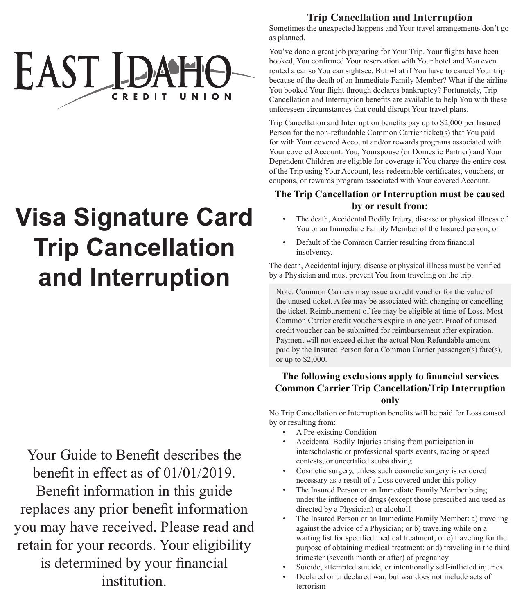

# **Visa Signature Card Trip Cancellation and Interruption**

Your Guide to Benefit describes the benefit in effect as of 01/01/2019. Benefit information in this guide replaces any prior benefit information you may have received. Please read and retain for your records. Your eligibility is determined by your financial institution.

# **Trip Cancellation and Interruption**

Sometimes the unexpected happens and Your travel arrangements don't go as planned.

You've done a great job preparing for Your Trip. Your flights have been booked, You confirmed Your reservation with Your hotel and You even rented a car so You can sightsee. But what if You have to cancel Your trip because of the death of an Immediate Family Member? What if the airline You booked Your flight through declares bankruptcy? Fortunately, Trip Cancellation and Interruption benefits are available to help You with these unforeseen circumstances that could disrupt Your travel plans.

Trip Cancellation and Interruption benefits pay up to \$2,000 per Insured Person for the non-refundable Common Carrier ticket(s) that You paid for with Your covered Account and/or rewards programs associated with Your covered Account. You, Yourspouse (or Domestic Partner) and Your Dependent Children are eligible for coverage if You charge the entire cost of the Trip using Your Account, less redeemable certificates, vouchers, or coupons, or rewards program associated with Your covered Account.

## **The Trip Cancellation or Interruption must be caused by or result from:**

- The death, Accidental Bodily Injury, disease or physical illness of You or an Immediate Family Member of the Insured person; or
- Default of the Common Carrier resulting from financial insolvency.

The death, Accidental injury, disease or physical illness must be verified by a Physician and must prevent You from traveling on the trip.

Note: Common Carriers may issue a credit voucher for the value of the unused ticket. A fee may be associated with changing or cancelling the ticket. Reimbursement of fee may be eligible at time of Loss. Most Common Carrier credit vouchers expire in one year. Proof of unused credit voucher can be submitted for reimbursement after expiration. Payment will not exceed either the actual Non-Refundable amount paid by the Insured Person for a Common Carrier passenger(s) fare(s), or up to \$2,000.

# **The following exclusions apply to financial services Common Carrier Trip Cancellation/Trip Interruption only**

No Trip Cancellation or Interruption benefits will be paid for Loss caused by or resulting from:

- A Pre-existing Condition
- Accidental Bodily Injuries arising from participation in interscholastic or professional sports events, racing or speed contests, or uncertified scuba diving
- Cosmetic surgery, unless such cosmetic surgery is rendered necessary as a result of a Loss covered under this policy
- The Insured Person or an Immediate Family Member being under the influence of drugs (except those prescribed and used as directed by a Physician) or alcohol1
- The Insured Person or an Immediate Family Member: a) traveling against the advice of a Physician; or b) traveling while on a waiting list for specified medical treatment; or c) traveling for the purpose of obtaining medical treatment; or d) traveling in the third trimester (seventh month or after) of pregnancy
- Suicide, attempted suicide, or intentionally self-inflicted injuries
- Declared or undeclared war, but war does not include acts of terrorism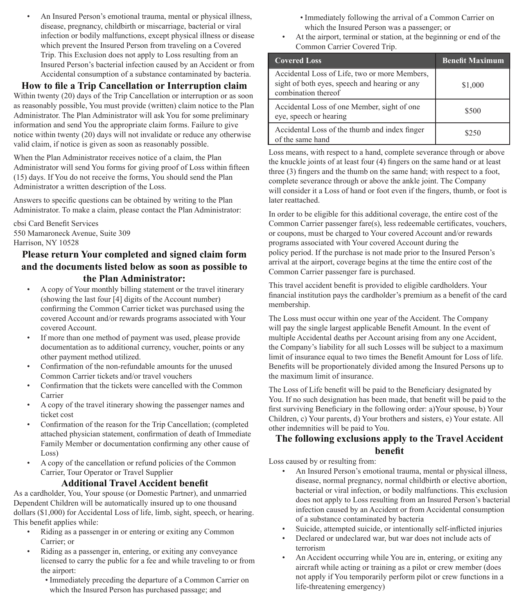• An Insured Person's emotional trauma, mental or physical illness, disease, pregnancy, childbirth or miscarriage, bacterial or viral infection or bodily malfunctions, except physical illness or disease which prevent the Insured Person from traveling on a Covered Trip. This Exclusion does not apply to Loss resulting from an Insured Person's bacterial infection caused by an Accident or from Accidental consumption of a substance contaminated by bacteria.

# **How to file a Trip Cancellation or Interruption claim**

Within twenty (20) days of the Trip Cancellation or interruption or as soon as reasonably possible, You must provide (written) claim notice to the Plan Administrator. The Plan Administrator will ask You for some preliminary information and send You the appropriate claim forms. Failure to give notice within twenty (20) days will not invalidate or reduce any otherwise valid claim, if notice is given as soon as reasonably possible.

When the Plan Administrator receives notice of a claim, the Plan Administrator will send You forms for giving proof of Loss within fifteen (15) days. If You do not receive the forms, You should send the Plan Administrator a written description of the Loss.

Answers to specific questions can be obtained by writing to the Plan Administrator. To make a claim, please contact the Plan Administrator:

cbsi Card Benefit Services 550 Mamaroneck Avenue, Suite 309 Harrison, NY 10528

# **Please return Your completed and signed claim form and the documents listed below as soon as possible to the Plan Administrator:**

- A copy of Your monthly billing statement or the travel itinerary (showing the last four [4] digits of the Account number) confirming the Common Carrier ticket was purchased using the covered Account and/or rewards programs associated with Your covered Account.
- If more than one method of payment was used, please provide documentation as to additional currency, voucher, points or any other payment method utilized.
- Confirmation of the non-refundable amounts for the unused Common Carrier tickets and/or travel vouchers
- Confirmation that the tickets were cancelled with the Common Carrier
- A copy of the travel itinerary showing the passenger names and ticket cost
- Confirmation of the reason for the Trip Cancellation; (completed attached physician statement, confirmation of death of Immediate Family Member or documentation confirming any other cause of Loss)
- A copy of the cancellation or refund policies of the Common Carrier, Tour Operator or Travel Supplier

#### **Additional Travel Accident benefit**

As a cardholder, You, Your spouse (or Domestic Partner), and unmarried Dependent Children will be automatically insured up to one thousand dollars (\$1,000) for Accidental Loss of life, limb, sight, speech, or hearing. This benefit applies while:

- Riding as a passenger in or entering or exiting any Common Carrier; or
- Riding as a passenger in, entering, or exiting any conveyance licensed to carry the public for a fee and while traveling to or from the airport:
	- Immediately preceding the departure of a Common Carrier on which the Insured Person has purchased passage; and
- Immediately following the arrival of a Common Carrier on which the Insured Person was a passenger; or
- At the airport, terminal or station, at the beginning or end of the Common Carrier Covered Trip.

| <b>Covered Loss</b>                                                                                                   | <b>Benefit Maximum</b> |
|-----------------------------------------------------------------------------------------------------------------------|------------------------|
| Accidental Loss of Life, two or more Members,<br>sight of both eyes, speech and hearing or any<br>combination thereof | \$1,000                |
| Accidental Loss of one Member, sight of one<br>eye, speech or hearing                                                 | \$500                  |
| Accidental Loss of the thumb and index finger<br>of the same hand                                                     | \$250                  |

Loss means, with respect to a hand, complete severance through or above the knuckle joints of at least four (4) fingers on the same hand or at least three (3) fingers and the thumb on the same hand; with respect to a foot, complete severance through or above the ankle joint. The Company will consider it a Loss of hand or foot even if the fingers, thumb, or foot is later reattached.

In order to be eligible for this additional coverage, the entire cost of the Common Carrier passenger fare(s), less redeemable certificates, vouchers, or coupons, must be charged to Your covered Account and/or rewards programs associated with Your covered Account during the policy period. If the purchase is not made prior to the Insured Person's arrival at the airport, coverage begins at the time the entire cost of the Common Carrier passenger fare is purchased.

This travel accident benefit is provided to eligible cardholders. Your financial institution pays the cardholder's premium as a benefit of the card membership.

The Loss must occur within one year of the Accident. The Company will pay the single largest applicable Benefit Amount. In the event of multiple Accidental deaths per Account arising from any one Accident, the Company's liability for all such Losses will be subject to a maximum limit of insurance equal to two times the Benefit Amount for Loss of life. Benefits will be proportionately divided among the Insured Persons up to the maximum limit of insurance.

The Loss of Life benefit will be paid to the Beneficiary designated by You. If no such designation has been made, that benefit will be paid to the first surviving Beneficiary in the following order: a)Your spouse, b) Your Children, c) Your parents, d) Your brothers and sisters, e) Your estate. All other indemnities will be paid to You.

# **The following exclusions apply to the Travel Accident benefit**

Loss caused by or resulting from:

- An Insured Person's emotional trauma, mental or physical illness, disease, normal pregnancy, normal childbirth or elective abortion, bacterial or viral infection, or bodily malfunctions. This exclusion does not apply to Loss resulting from an Insured Person's bacterial infection caused by an Accident or from Accidental consumption of a substance contaminated by bacteria
- Suicide, attempted suicide, or intentionally self-inflicted injuries
- Declared or undeclared war, but war does not include acts of terrorism
- An Accident occurring while You are in, entering, or exiting any aircraft while acting or training as a pilot or crew member (does not apply if You temporarily perform pilot or crew functions in a life-threatening emergency)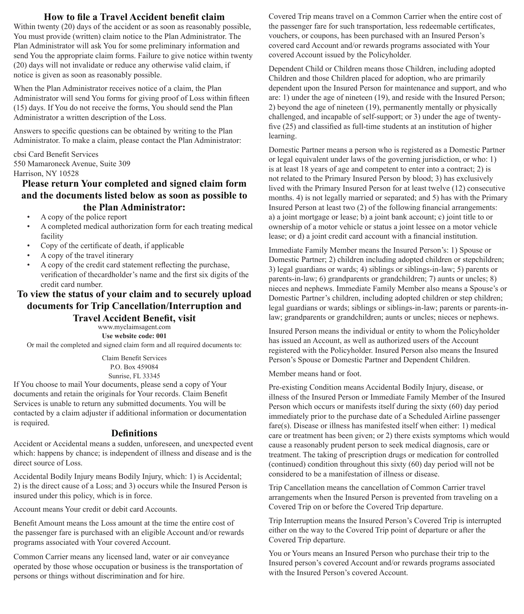#### **How to file a Travel Accident benefit claim**

Within twenty (20) days of the accident or as soon as reasonably possible, You must provide (written) claim notice to the Plan Administrator. The Plan Administrator will ask You for some preliminary information and send You the appropriate claim forms. Failure to give notice within twenty (20) days will not invalidate or reduce any otherwise valid claim, if notice is given as soon as reasonably possible.

When the Plan Administrator receives notice of a claim, the Plan Administrator will send You forms for giving proof of Loss within fifteen (15) days. If You do not receive the forms, You should send the Plan Administrator a written description of the Loss.

Answers to specific questions can be obtained by writing to the Plan Administrator. To make a claim, please contact the Plan Administrator:

cbsi Card Benefit Services 550 Mamaroneck Avenue, Suite 309 Harrison, NY 10528

#### **Please return Your completed and signed claim form and the documents listed below as soon as possible to the Plan Administrator:**

- A copy of the police report
- A completed medical authorization form for each treating medical facility
- Copy of the certificate of death, if applicable
- A copy of the travel itinerary
- A copy of the credit card statement reflecting the purchase, verification of thecardholder's name and the first six digits of the credit card number.

#### **To view the status of your claim and to securely upload documents for Trip Cancellation/Interruption and Travel Accident Benefit, visit**

www.myclaimsagent.com

**Use website code: 001** Or mail the completed and signed claim form and all required documents to:

> Claim Benefit Services P.O. Box 459084 Sunrise, FL 33345

If You choose to mail Your documents, please send a copy of Your documents and retain the originals for Your records. Claim Benefit Services is unable to return any submitted documents. You will be contacted by a claim adjuster if additional information or documentation is required.

#### **Definitions**

Accident or Accidental means a sudden, unforeseen, and unexpected event which: happens by chance; is independent of illness and disease and is the direct source of Loss.

Accidental Bodily Injury means Bodily Injury, which: 1) is Accidental; 2) is the direct cause of a Loss; and 3) occurs while the Insured Person is insured under this policy, which is in force.

Account means Your credit or debit card Accounts.

Benefit Amount means the Loss amount at the time the entire cost of the passenger fare is purchased with an eligible Account and/or rewards programs associated with Your covered Account.

Common Carrier means any licensed land, water or air conveyance operated by those whose occupation or business is the transportation of persons or things without discrimination and for hire.

Covered Trip means travel on a Common Carrier when the entire cost of the passenger fare for such transportation, less redeemable certificates, vouchers, or coupons, has been purchased with an Insured Person's covered card Account and/or rewards programs associated with Your covered Account issued by the Policyholder.

Dependent Child or Children means those Children, including adopted Children and those Children placed for adoption, who are primarily dependent upon the Insured Person for maintenance and support, and who are: 1) under the age of nineteen (19), and reside with the Insured Person; 2) beyond the age of nineteen (19), permanently mentally or physically challenged, and incapable of self-support; or 3) under the age of twentyfive (25) and classified as full-time students at an institution of higher learning.

Domestic Partner means a person who is registered as a Domestic Partner or legal equivalent under laws of the governing jurisdiction, or who: 1) is at least 18 years of age and competent to enter into a contract; 2) is not related to the Primary Insured Person by blood; 3) has exclusively lived with the Primary Insured Person for at least twelve (12) consecutive months. 4) is not legally married or separated; and 5) has with the Primary Insured Person at least two (2) of the following financial arrangements: a) a joint mortgage or lease; b) a joint bank account; c) joint title to or ownership of a motor vehicle or status a joint lessee on a motor vehicle lease; or d) a joint credit card account with a financial institution.

Immediate Family Member means the Insured Person's: 1) Spouse or Domestic Partner; 2) children including adopted children or stepchildren; 3) legal guardians or wards; 4) siblings or siblings-in-law; 5) parents or parents-in-law; 6) grandparents or grandchildren; 7) aunts or uncles; 8) nieces and nephews. Immediate Family Member also means a Spouse's or Domestic Partner's children, including adopted children or step children; legal guardians or wards; siblings or siblings-in-law; parents or parents-inlaw; grandparents or grandchildren; aunts or uncles; nieces or nephews.

Insured Person means the individual or entity to whom the Policyholder has issued an Account, as well as authorized users of the Account registered with the Policyholder. Insured Person also means the Insured Person's Spouse or Domestic Partner and Dependent Children.

Member means hand or foot.

Pre-existing Condition means Accidental Bodily Injury, disease, or illness of the Insured Person or Immediate Family Member of the Insured Person which occurs or manifests itself during the sixty (60) day period immediately prior to the purchase date of a Scheduled Airline passenger fare(s). Disease or illness has manifested itself when either: 1) medical care or treatment has been given; or 2) there exists symptoms which would cause a reasonably prudent person to seek medical diagnosis, care or treatment. The taking of prescription drugs or medication for controlled (continued) condition throughout this sixty (60) day period will not be considered to be a manifestation of illness or disease.

Trip Cancellation means the cancellation of Common Carrier travel arrangements when the Insured Person is prevented from traveling on a Covered Trip on or before the Covered Trip departure.

Trip Interruption means the Insured Person's Covered Trip is interrupted either on the way to the Covered Trip point of departure or after the Covered Trip departure.

You or Yours means an Insured Person who purchase their trip to the Insured person's covered Account and/or rewards programs associated with the Insured Person's covered Account.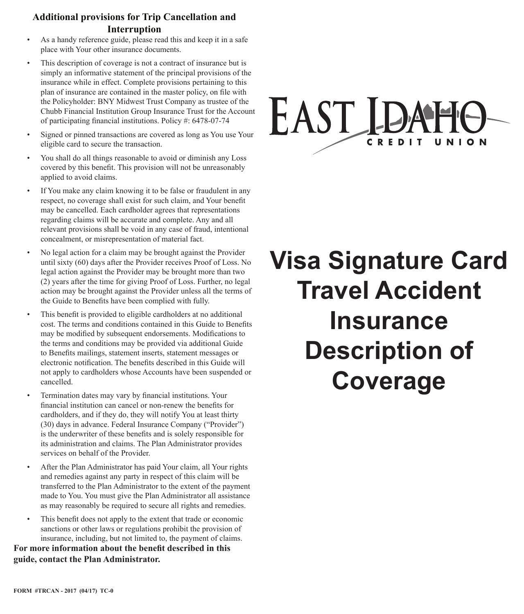# **Additional provisions for Trip Cancellation and Interruption**

- As a handy reference guide, please read this and keep it in a safe place with Your other insurance documents.
- This description of coverage is not a contract of insurance but is simply an informative statement of the principal provisions of the insurance while in effect. Complete provisions pertaining to this plan of insurance are contained in the master policy, on file with the Policyholder: BNY Midwest Trust Company as trustee of the Chubb Financial Institution Group Insurance Trust for the Account of participating financial institutions. Policy #: 6478-07-74
- Signed or pinned transactions are covered as long as You use Your eligible card to secure the transaction.
- You shall do all things reasonable to avoid or diminish any Loss covered by this benefit. This provision will not be unreasonably applied to avoid claims.
- If You make any claim knowing it to be false or fraudulent in any respect, no coverage shall exist for such claim, and Your benefit may be cancelled. Each cardholder agrees that representations regarding claims will be accurate and complete. Any and all relevant provisions shall be void in any case of fraud, intentional concealment, or misrepresentation of material fact.
- No legal action for a claim may be brought against the Provider until sixty (60) days after the Provider receives Proof of Loss. No legal action against the Provider may be brought more than two (2) years after the time for giving Proof of Loss. Further, no legal action may be brought against the Provider unless all the terms of the Guide to Benefits have been complied with fully.
- This benefit is provided to eligible cardholders at no additional cost. The terms and conditions contained in this Guide to Benefits may be modified by subsequent endorsements. Modifications to the terms and conditions may be provided via additional Guide to Benefits mailings, statement inserts, statement messages or electronic notification. The benefits described in this Guide will not apply to cardholders whose Accounts have been suspended or cancelled.
- Termination dates may vary by financial institutions. Your financial institution can cancel or non-renew the benefits for cardholders, and if they do, they will notify You at least thirty (30) days in advance. Federal Insurance Company ("Provider") is the underwriter of these benefits and is solely responsible for its administration and claims. The Plan Administrator provides services on behalf of the Provider.
- After the Plan Administrator has paid Your claim, all Your rights and remedies against any party in respect of this claim will be transferred to the Plan Administrator to the extent of the payment made to You. You must give the Plan Administrator all assistance as may reasonably be required to secure all rights and remedies.
- This benefit does not apply to the extent that trade or economic sanctions or other laws or regulations prohibit the provision of insurance, including, but not limited to, the payment of claims.

**For more information about the benefit described in this guide, contact the Plan Administrator.**

# EAST ID CREDIT

# **Visa Signature Card Travel Accident Insurance Description of Coverage**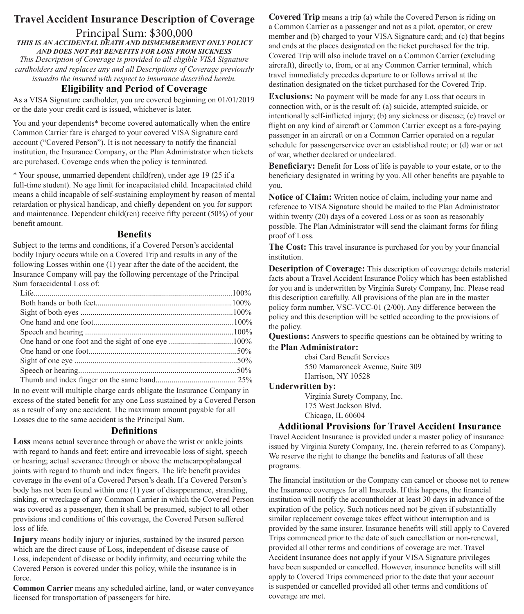# **Travel Accident Insurance Description of Coverage**

#### Principal Sum: \$300,000 *THIS IS AN ACCIDENTAL DEATH AND DISMEMBERMENT ONLY POLICY AND DOES NOT PAY BENEFITS FOR LOSS FROM SICKNESS*

*This Description of Coverage is provided to all eligible VISA Signature cardholders and replaces any and all Descriptions of Coverage previously issuedto the insured with respect to insurance described herein.*

#### **Eligibility and Period of Coverage**

As a VISA Signature cardholder, you are covered beginning on 01/01/2019 or the date your credit card is issued, whichever is later.

You and your dependents\* become covered automatically when the entire Common Carrier fare is charged to your covered VISA Signature card account ("Covered Person"). It is not necessary to notify the financial institution, the Insurance Company, or the Plan Administrator when tickets are purchased. Coverage ends when the policy is terminated.

\* Your spouse, unmarried dependent child(ren), under age 19 (25 if a full-time student). No age limit for incapacitated child. Incapacitated child means a child incapable of self-sustaining employment by reason of mental retardation or physical handicap, and chiefly dependent on you for support and maintenance. Dependent child(ren) receive fifty percent (50%) of your benefit amount.

#### **Benefits**

Subject to the terms and conditions, if a Covered Person's accidental bodily Injury occurs while on a Covered Trip and results in any of the following Losses within one (1) year after the date of the accident, the Insurance Company will pay the following percentage of the Principal Sum foraccidental Loss of:

In no event will multiple charge cards obligate the Insurance Company in excess of the stated benefit for any one Loss sustained by a Covered Person as a result of any one accident. The maximum amount payable for all Losses due to the same accident is the Principal Sum.

#### **Definitions**

**Loss** means actual severance through or above the wrist or ankle joints with regard to hands and feet; entire and irrevocable loss of sight, speech or hearing; actual severance through or above the metacarpophalangeal joints with regard to thumb and index fingers. The life benefit provides coverage in the event of a Covered Person's death. If a Covered Person's body has not been found within one (1) year of disappearance, stranding, sinking, or wreckage of any Common Carrier in which the Covered Person was covered as a passenger, then it shall be presumed, subject to all other provisions and conditions of this coverage, the Covered Person suffered loss of life.

**Injury** means bodily injury or injuries, sustained by the insured person which are the direct cause of Loss, independent of disease cause of Loss, independent of disease or bodily infirmity, and occurring while the Covered Person is covered under this policy, while the insurance is in force.

**Common Carrier** means any scheduled airline, land, or water conveyance licensed for transportation of passengers for hire.

**Covered Trip** means a trip (a) while the Covered Person is riding on a Common Carrier as a passenger and not as a pilot, operator, or crew member and (b) charged to your VISA Signature card; and (c) that begins and ends at the places designated on the ticket purchased for the trip. Covered Trip will also include travel on a Common Carrier (excluding aircraft), directly to, from, or at any Common Carrier terminal, which travel immediately precedes departure to or follows arrival at the destination designated on the ticket purchased for the Covered Trip.

**Exclusions:** No payment will be made for any Loss that occurs in connection with, or is the result of: (a) suicide, attempted suicide, or intentionally self-inflicted injury; (b) any sickness or disease; (c) travel or flight on any kind of aircraft or Common Carrier except as a fare-paying passenger in an aircraft or on a Common Carrier operated on a regular schedule for passengerservice over an established route; or (d) war or act of war, whether declared or undeclared.

**Beneficiary:** Benefit for Loss of life is payable to your estate, or to the beneficiary designated in writing by you. All other benefits are payable to you.

**Notice of Claim:** Written notice of claim, including your name and reference to VISA Signature should be mailed to the Plan Administrator within twenty (20) days of a covered Loss or as soon as reasonably possible. The Plan Administrator will send the claimant forms for filing proof of Loss.

**The Cost:** This travel insurance is purchased for you by your financial institution.

**Description of Coverage:** This description of coverage details material facts about a Travel Accident Insurance Policy which has been established for you and is underwritten by Virginia Surety Company, Inc. Please read this description carefully. All provisions of the plan are in the master policy form number, VSC-VCC-01 (2/00). Any difference between the policy and this description will be settled according to the provisions of the policy.

**Questions:** Answers to specific questions can be obtained by writing to the **Plan Administrator:**

> cbsi Card Benefit Services 550 Mamaroneck Avenue, Suite 309 Harrison, NY 10528

#### **Underwritten by:**

Virginia Surety Company, Inc. 175 West Jackson Blvd. Chicago, IL 60604

#### **Additional Provisions for Travel Accident Insurance**

Travel Accident Insurance is provided under a master policy of insurance issued by Virginia Surety Company, Inc. (herein referred to as Company). We reserve the right to change the benefits and features of all these programs.

The financial institution or the Company can cancel or choose not to renew the Insurance coverages for all Insureds. If this happens, the financial institution will notify the accountholder at least 30 days in advance of the expiration of the policy. Such notices need not be given if substantially similar replacement coverage takes effect without interruption and is provided by the same insurer. Insurance benefits will still apply to Covered Trips commenced prior to the date of such cancellation or non-renewal, provided all other terms and conditions of coverage are met. Travel Accident Insurance does not apply if your VISA Signature privileges have been suspended or cancelled. However, insurance benefits will still apply to Covered Trips commenced prior to the date that your account is suspended or cancelled provided all other terms and conditions of coverage are met.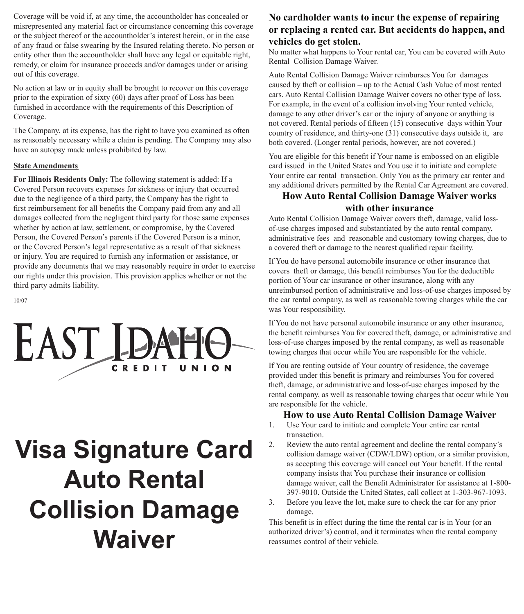Coverage will be void if, at any time, the accountholder has concealed or misrepresented any material fact or circumstance concerning this coverage or the subject thereof or the accountholder's interest herein, or in the case of any fraud or false swearing by the Insured relating thereto. No person or entity other than the accountholder shall have any legal or equitable right, remedy, or claim for insurance proceeds and/or damages under or arising out of this coverage.

No action at law or in equity shall be brought to recover on this coverage prior to the expiration of sixty (60) days after proof of Loss has been furnished in accordance with the requirements of this Description of Coverage.

The Company, at its expense, has the right to have you examined as often as reasonably necessary while a claim is pending. The Company may also have an autopsy made unless prohibited by law.

#### **State Amendments**

**For Illinois Residents Only:** The following statement is added: If a Covered Person recovers expenses for sickness or injury that occurred due to the negligence of a third party, the Company has the right to first reimbursement for all benefits the Company paid from any and all damages collected from the negligent third party for those same expenses whether by action at law, settlement, or compromise, by the Covered Person, the Covered Person's parents if the Covered Person is a minor, or the Covered Person's legal representative as a result of that sickness or injury. You are required to furnish any information or assistance, or provide any documents that we may reasonably require in order to exercise our rights under this provision. This provision applies whether or not the third party admits liability.

10/07



# **Visa Signature Card Auto Rental Collision Damage Waiver**

### **No cardholder wants to incur the expense of repairing or replacing a rented car. But accidents do happen, and vehicles do get stolen.**

No matter what happens to Your rental car, You can be covered with Auto Rental Collision Damage Waiver.

Auto Rental Collision Damage Waiver reimburses You for damages caused by theft or collision – up to the Actual Cash Value of most rented cars. Auto Rental Collision Damage Waiver covers no other type of loss. For example, in the event of a collision involving Your rented vehicle, damage to any other driver's car or the injury of anyone or anything is not covered. Rental periods of fifteen (15) consecutive days within Your country of residence, and thirty-one (31) consecutive days outside it, are both covered. (Longer rental periods, however, are not covered.)

You are eligible for this benefit if Your name is embossed on an eligible card issued in the United States and You use it to initiate and complete Your entire car rental transaction. Only You as the primary car renter and any additional drivers permitted by the Rental Car Agreement are covered.

## **How Auto Rental Collision Damage Waiver works with other insurance**

Auto Rental Collision Damage Waiver covers theft, damage, valid lossof-use charges imposed and substantiated by the auto rental company, administrative fees and reasonable and customary towing charges, due to a covered theft or damage to the nearest qualified repair facility.

If You do have personal automobile insurance or other insurance that covers theft or damage, this benefit reimburses You for the deductible portion of Your car insurance or other insurance, along with any unreimbursed portion of administrative and loss-of-use charges imposed by the car rental company, as well as reasonable towing charges while the car was Your responsibility.

If You do not have personal automobile insurance or any other insurance, the benefit reimburses You for covered theft, damage, or administrative and loss-of-use charges imposed by the rental company, as well as reasonable towing charges that occur while You are responsible for the vehicle.

If You are renting outside of Your country of residence, the coverage provided under this benefit is primary and reimburses You for covered theft, damage, or administrative and loss-of-use charges imposed by the rental company, as well as reasonable towing charges that occur while You are responsible for the vehicle.

#### **How to use Auto Rental Collision Damage Waiver**

- 1. Use Your card to initiate and complete Your entire car rental transaction.
- 2. Review the auto rental agreement and decline the rental company's collision damage waiver (CDW/LDW) option, or a similar provision, as accepting this coverage will cancel out Your benefit. If the rental company insists that You purchase their insurance or collision damage waiver, call the Benefit Administrator for assistance at 1-800- 397-9010. Outside the United States, call collect at 1-303-967-1093.
- 3. Before you leave the lot, make sure to check the car for any prior damage.

This benefit is in effect during the time the rental car is in Your (or an authorized driver's) control, and it terminates when the rental company reassumes control of their vehicle.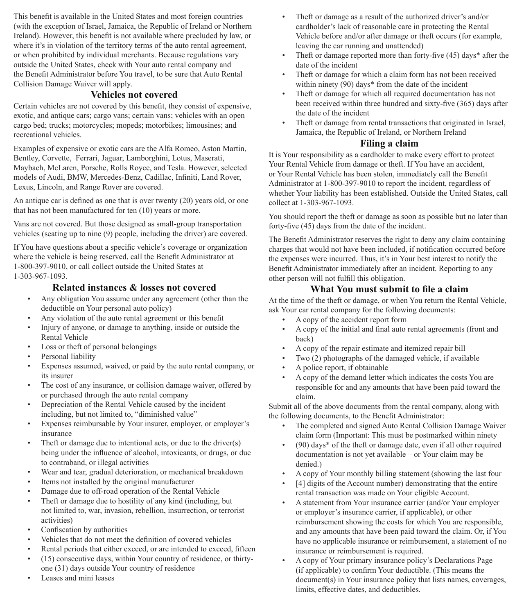This benefit is available in the United States and most foreign countries (with the exception of Israel, Jamaica, the Republic of Ireland or Northern Ireland). However, this benefit is not available where precluded by law, or where it's in violation of the territory terms of the auto rental agreement, or when prohibited by individual merchants. Because regulations vary outside the United States, check with Your auto rental company and the Benefit Administrator before You travel, to be sure that Auto Rental Collision Damage Waiver will apply.

### **Vehicles not covered**

Certain vehicles are not covered by this benefit, they consist of expensive, exotic, and antique cars; cargo vans; certain vans; vehicles with an open cargo bed; trucks; motorcycles; mopeds; motorbikes; limousines; and recreational vehicles.

Examples of expensive or exotic cars are the Alfa Romeo, Aston Martin, Bentley, Corvette, Ferrari, Jaguar, Lamborghini, Lotus, Maserati, Maybach, McLaren, Porsche, Rolls Royce, and Tesla. However, selected models of Audi, BMW, Mercedes-Benz, Cadillac, Infiniti, Land Rover, Lexus, Lincoln, and Range Rover are covered.

An antique car is defined as one that is over twenty (20) years old, or one that has not been manufactured for ten (10) years or more.

Vans are not covered. But those designed as small-group transportation vehicles (seating up to nine (9) people, including the driver) are covered.

If You have questions about a specific vehicle's coverage or organization where the vehicle is being reserved, call the Benefit Administrator at 1-800-397-9010, or call collect outside the United States at 1-303-967-1093.

#### **Related instances & losses not covered**

- Any obligation You assume under any agreement (other than the deductible on Your personal auto policy)
- Any violation of the auto rental agreement or this benefit
- Injury of anyone, or damage to anything, inside or outside the Rental Vehicle
- Loss or theft of personal belongings
- Personal liability
- Expenses assumed, waived, or paid by the auto rental company, or its insurer
- The cost of any insurance, or collision damage waiver, offered by or purchased through the auto rental company
- Depreciation of the Rental Vehicle caused by the incident including, but not limited to, "diminished value"
- Expenses reimbursable by Your insurer, employer, or employer's insurance
- Theft or damage due to intentional acts, or due to the driver(s) being under the influence of alcohol, intoxicants, or drugs, or due to contraband, or illegal activities
- Wear and tear, gradual deterioration, or mechanical breakdown
- Items not installed by the original manufacturer
- Damage due to off-road operation of the Rental Vehicle
- Theft or damage due to hostility of any kind (including, but not limited to, war, invasion, rebellion, insurrection, or terrorist activities)
- Confiscation by authorities
- Vehicles that do not meet the definition of covered vehicles
- Rental periods that either exceed, or are intended to exceed, fifteen
- $(15)$  consecutive days, within Your country of residence, or thirtyone (31) days outside Your country of residence
- Leases and mini leases
- Theft or damage as a result of the authorized driver's and/or cardholder's lack of reasonable care in protecting the Rental Vehicle before and/or after damage or theft occurs (for example, leaving the car running and unattended)
- Theft or damage reported more than forty-five (45) days\* after the date of the incident
- Theft or damage for which a claim form has not been received within ninety (90) days<sup>\*</sup> from the date of the incident
- Theft or damage for which all required documentation has not been received within three hundred and sixty-five (365) days after the date of the incident
- Theft or damage from rental transactions that originated in Israel, Jamaica, the Republic of Ireland, or Northern Ireland

# **Filing a claim**

It is Your responsibility as a cardholder to make every effort to protect Your Rental Vehicle from damage or theft. If You have an accident, or Your Rental Vehicle has been stolen, immediately call the Benefit Administrator at 1-800-397-9010 to report the incident, regardless of whether Your liability has been established. Outside the United States, call collect at 1-303-967-1093.

You should report the theft or damage as soon as possible but no later than forty-five (45) days from the date of the incident.

The Benefit Administrator reserves the right to deny any claim containing charges that would not have been included, if notification occurred before the expenses were incurred. Thus, it's in Your best interest to notify the Benefit Administrator immediately after an incident. Reporting to any other person will not fulfill this obligation.

# **What You must submit to file a claim**

At the time of the theft or damage, or when You return the Rental Vehicle, ask Your car rental company for the following documents:

- A copy of the accident report form
- A copy of the initial and final auto rental agreements (front and back)
- A copy of the repair estimate and itemized repair bill
- Two (2) photographs of the damaged vehicle, if available
- A police report, if obtainable
- A copy of the demand letter which indicates the costs You are responsible for and any amounts that have been paid toward the claim.

Submit all of the above documents from the rental company, along with the following documents, to the Benefit Administrator:

- The completed and signed Auto Rental Collision Damage Waiver claim form (Important: This must be postmarked within ninety
- (90) days\* of the theft or damage date, even if all other required documentation is not yet available – or Your claim may be denied.)
- A copy of Your monthly billing statement (showing the last four
- [4] digits of the Account number) demonstrating that the entire rental transaction was made on Your eligible Account.
- A statement from Your insurance carrier (and/or Your employer or employer's insurance carrier, if applicable), or other reimbursement showing the costs for which You are responsible, and any amounts that have been paid toward the claim. Or, if You have no applicable insurance or reimbursement, a statement of no insurance or reimbursement is required.
- A copy of Your primary insurance policy's Declarations Page (if applicable) to confirm Your deductible. (This means the document(s) in Your insurance policy that lists names, coverages, limits, effective dates, and deductibles.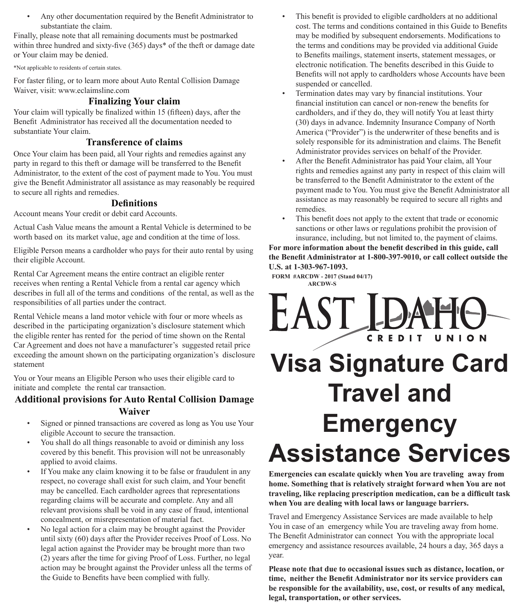• Any other documentation required by the Benefit Administrator to substantiate the claim.

Finally, please note that all remaining documents must be postmarked within three hundred and sixty-five (365) days\* of the theft or damage date or Your claim may be denied.

\*Not applicable to residents of certain states.

For faster filing, or to learn more about Auto Rental Collision Damage Waiver, visit: www.eclaimsline.com

#### **Finalizing Your claim**

Your claim will typically be finalized within 15 (fifteen) days, after the Benefit Administrator has received all the documentation needed to substantiate Your claim.

#### **Transference of claims**

Once Your claim has been paid, all Your rights and remedies against any party in regard to this theft or damage will be transferred to the Benefit Administrator, to the extent of the cost of payment made to You. You must give the Benefit Administrator all assistance as may reasonably be required to secure all rights and remedies.

#### **Definitions**

Account means Your credit or debit card Accounts.

Actual Cash Value means the amount a Rental Vehicle is determined to be worth based on its market value, age and condition at the time of loss.

Eligible Person means a cardholder who pays for their auto rental by using their eligible Account.

Rental Car Agreement means the entire contract an eligible renter receives when renting a Rental Vehicle from a rental car agency which describes in full all of the terms and conditions of the rental, as well as the responsibilities of all parties under the contract.

Rental Vehicle means a land motor vehicle with four or more wheels as described in the participating organization's disclosure statement which the eligible renter has rented for the period of time shown on the Rental Car Agreement and does not have a manufacturer's suggested retail price exceeding the amount shown on the participating organization's disclosure statement

You or Your means an Eligible Person who uses their eligible card to initiate and complete the rental car transaction.

## **Additional provisions for Auto Rental Collision Damage Waiver**

- Signed or pinned transactions are covered as long as You use Your eligible Account to secure the transaction.
- You shall do all things reasonable to avoid or diminish any loss covered by this benefit. This provision will not be unreasonably applied to avoid claims.
- If You make any claim knowing it to be false or fraudulent in any respect, no coverage shall exist for such claim, and Your benefit may be cancelled. Each cardholder agrees that representations regarding claims will be accurate and complete. Any and all relevant provisions shall be void in any case of fraud, intentional concealment, or misrepresentation of material fact.
- No legal action for a claim may be brought against the Provider until sixty (60) days after the Provider receives Proof of Loss. No legal action against the Provider may be brought more than two (2) years after the time for giving Proof of Loss. Further, no legal action may be brought against the Provider unless all the terms of the Guide to Benefits have been complied with fully.
- This benefit is provided to eligible cardholders at no additional cost. The terms and conditions contained in this Guide to Benefits may be modified by subsequent endorsements. Modifications to the terms and conditions may be provided via additional Guide to Benefits mailings, statement inserts, statement messages, or electronic notification. The benefits described in this Guide to Benefits will not apply to cardholders whose Accounts have been suspended or cancelled.
- Termination dates may vary by financial institutions. Your financial institution can cancel or non-renew the benefits for cardholders, and if they do, they will notify You at least thirty (30) days in advance. Indemnity Insurance Company of North America ("Provider") is the underwriter of these benefits and is solely responsible for its administration and claims. The Benefit Administrator provides services on behalf of the Provider.
- After the Benefit Administrator has paid Your claim, all Your rights and remedies against any party in respect of this claim will be transferred to the Benefit Administrator to the extent of the payment made to You. You must give the Benefit Administrator all assistance as may reasonably be required to secure all rights and remedies.
- This benefit does not apply to the extent that trade or economic sanctions or other laws or regulations prohibit the provision of insurance, including, but not limited to, the payment of claims.

**For more information about the benefit described in this guide, call the Benefit Administrator at 1-800-397-9010, or call collect outside the U.S. at 1-303-967-1093.**

**FORM #ARCDW - 2017 (Stand 04/17) ARCDW-S**



**Emergencies can escalate quickly when You are traveling away from home. Something that is relatively straight forward when You are not traveling, like replacing prescription medication, can be a difficult task when You are dealing with local laws or language barriers.**

Travel and Emergency Assistance Services are made available to help You in case of an emergency while You are traveling away from home. The Benefit Administrator can connect You with the appropriate local emergency and assistance resources available, 24 hours a day, 365 days a year.

**Please note that due to occasional issues such as distance, location, or time, neither the Benefit Administrator nor its service providers can be responsible for the availability, use, cost, or results of any medical, legal, transportation, or other services.**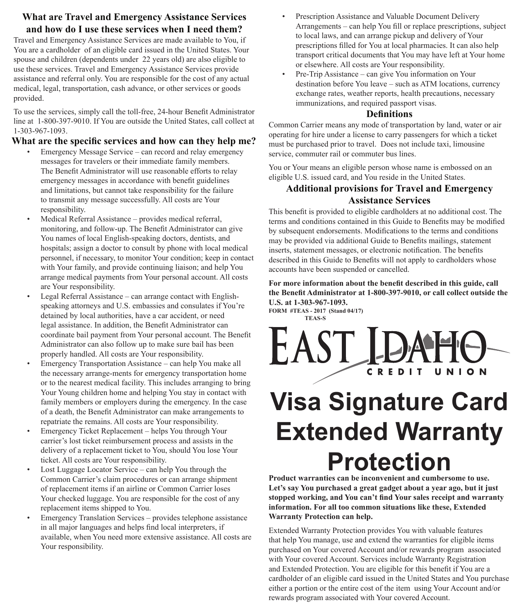## **What are Travel and Emergency Assistance Services and how do I use these services when I need them?**

Travel and Emergency Assistance Services are made available to You, if You are a cardholder of an eligible card issued in the United States. Your spouse and children (dependents under 22 years old) are also eligible to use these services. Travel and Emergency Assistance Services provide assistance and referral only. You are responsible for the cost of any actual medical, legal, transportation, cash advance, or other services or goods provided.

To use the services, simply call the toll-free, 24-hour Benefit Administrator line at 1-800-397-9010. If You are outside the United States, call collect at 1-303-967-1093.

### **What are the specific services and how can they help me?**

- Emergency Message Service can record and relay emergency messages for travelers or their immediate family members. The Benefit Administrator will use reasonable efforts to relay emergency messages in accordance with benefit guidelines and limitations, but cannot take responsibility for the failure to transmit any message successfully. All costs are Your responsibility.
- Medical Referral Assistance provides medical referral, monitoring, and follow-up. The Benefit Administrator can give You names of local English-speaking doctors, dentists, and hospitals; assign a doctor to consult by phone with local medical personnel, if necessary, to monitor Your condition; keep in contact with Your family, and provide continuing liaison; and help You arrange medical payments from Your personal account. All costs are Your responsibility.
- Legal Referral Assistance can arrange contact with Englishspeaking attorneys and U.S. embassies and consulates if You're detained by local authorities, have a car accident, or need legal assistance. In addition, the Benefit Administrator can coordinate bail payment from Your personal account. The Benefit Administrator can also follow up to make sure bail has been properly handled. All costs are Your responsibility.
- Emergency Transportation Assistance can help You make all the necessary arrange-ments for emergency transportation home or to the nearest medical facility. This includes arranging to bring Your Young children home and helping You stay in contact with family members or employers during the emergency. In the case of a death, the Benefit Administrator can make arrangements to repatriate the remains. All costs are Your responsibility.
- Emergency Ticket Replacement helps You through Your carrier's lost ticket reimbursement process and assists in the delivery of a replacement ticket to You, should You lose Your ticket. All costs are Your responsibility.
- Lost Luggage Locator Service can help You through the Common Carrier's claim procedures or can arrange shipment of replacement items if an airline or Common Carrier loses Your checked luggage. You are responsible for the cost of any replacement items shipped to You.
- Emergency Translation Services provides telephone assistance in all major languages and helps find local interpreters, if available, when You need more extensive assistance. All costs are Your responsibility.
- Prescription Assistance and Valuable Document Delivery Arrangements – can help You fill or replace prescriptions, subject to local laws, and can arrange pickup and delivery of Your prescriptions filled for You at local pharmacies. It can also help transport critical documents that You may have left at Your home or elsewhere. All costs are Your responsibility.
- Pre-Trip Assistance can give You information on Your destination before You leave – such as ATM locations, currency exchange rates, weather reports, health precautions, necessary immunizations, and required passport visas.

#### **Definitions**

Common Carrier means any mode of transportation by land, water or air operating for hire under a license to carry passengers for which a ticket must be purchased prior to travel. Does not include taxi, limousine service, commuter rail or commuter bus lines.

You or Your means an eligible person whose name is embossed on an eligible U.S. issued card, and You reside in the United States.

# **Additional provisions for Travel and Emergency Assistance Services**

This benefit is provided to eligible cardholders at no additional cost. The terms and conditions contained in this Guide to Benefits may be modified by subsequent endorsements. Modifications to the terms and conditions may be provided via additional Guide to Benefits mailings, statement inserts, statement messages, or electronic notification. The benefits described in this Guide to Benefits will not apply to cardholders whose accounts have been suspended or cancelled.

**For more information about the benefit described in this guide, call the Benefit Administrator at 1-800-397-9010, or call collect outside the U.S. at 1-303-967-1093.**

**FORM #TEAS - 2017 (Stand 04/17) TEAS-S**



# **Visa Signature Card Extended Warranty Protection**

**Product warranties can be inconvenient and cumbersome to use. Let's say You purchased a great gadget about a year ago, but it just stopped working, and You can't find Your sales receipt and warranty information. For all too common situations like these, Extended Warranty Protection can help.**

Extended Warranty Protection provides You with valuable features that help You manage, use and extend the warranties for eligible items purchased on Your covered Account and/or rewards program associated with Your covered Account. Services include Warranty Registration and Extended Protection. You are eligible for this benefit if You are a cardholder of an eligible card issued in the United States and You purchase either a portion or the entire cost of the item using Your Account and/or rewards program associated with Your covered Account.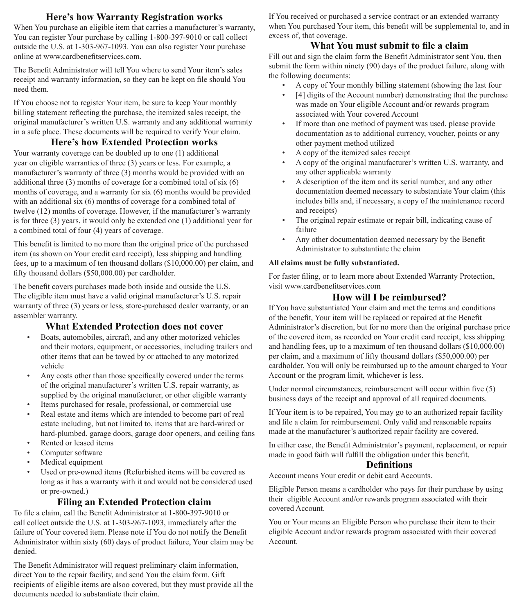#### **Here's how Warranty Registration works**

When You purchase an eligible item that carries a manufacturer's warranty, You can register Your purchase by calling 1-800-397-9010 or call collect outside the U.S. at 1-303-967-1093. You can also register Your purchase online at www.cardbenefitservices.com.

The Benefit Administrator will tell You where to send Your item's sales receipt and warranty information, so they can be kept on file should You need them.

If You choose not to register Your item, be sure to keep Your monthly billing statement reflecting the purchase, the itemized sales receipt, the original manufacturer's written U.S. warranty and any additional warranty in a safe place. These documents will be required to verify Your claim.

## **Here's how Extended Protection works**

Your warranty coverage can be doubled up to one (1) additional year on eligible warranties of three (3) years or less. For example, a manufacturer's warranty of three (3) months would be provided with an additional three (3) months of coverage for a combined total of six (6) months of coverage, and a warranty for six (6) months would be provided with an additional six (6) months of coverage for a combined total of twelve (12) months of coverage. However, if the manufacturer's warranty is for three (3) years, it would only be extended one (1) additional year for a combined total of four (4) years of coverage.

This benefit is limited to no more than the original price of the purchased item (as shown on Your credit card receipt), less shipping and handling fees, up to a maximum of ten thousand dollars (\$10,000.00) per claim, and fifty thousand dollars (\$50,000.00) per cardholder.

The benefit covers purchases made both inside and outside the U.S. The eligible item must have a valid original manufacturer's U.S. repair warranty of three (3) years or less, store-purchased dealer warranty, or an assembler warranty.

# **What Extended Protection does not cover**

- Boats, automobiles, aircraft, and any other motorized vehicles and their motors, equipment, or accessories, including trailers and other items that can be towed by or attached to any motorized vehicle
- Any costs other than those specifically covered under the terms of the original manufacturer's written U.S. repair warranty, as supplied by the original manufacturer, or other eligible warranty
- Items purchased for resale, professional, or commercial use
- Real estate and items which are intended to become part of real estate including, but not limited to, items that are hard-wired or hard-plumbed, garage doors, garage door openers, and ceiling fans
- Rented or leased items
- Computer software
- Medical equipment
- Used or pre-owned items (Refurbished items will be covered as long as it has a warranty with it and would not be considered used or pre-owned.)

# **Filing an Extended Protection claim**

To file a claim, call the Benefit Administrator at 1-800-397-9010 or call collect outside the U.S. at 1-303-967-1093, immediately after the failure of Your covered item. Please note if You do not notify the Benefit Administrator within sixty (60) days of product failure, Your claim may be denied.

The Benefit Administrator will request preliminary claim information, direct You to the repair facility, and send You the claim form. Gift recipients of eligible items are alsoo covered, but they must provide all the documents needed to substantiate their claim.

If You received or purchased a service contract or an extended warranty when You purchased Your item, this benefit will be supplemental to, and in excess of, that coverage.

# **What You must submit to file a claim**

Fill out and sign the claim form the Benefit Administrator sent You, then submit the form within ninety (90) days of the product failure, along with the following documents:

- A copy of Your monthly billing statement (showing the last four
- [4] digits of the Account number) demonstrating that the purchase was made on Your eligible Account and/or rewards program associated with Your covered Account
- If more than one method of payment was used, please provide documentation as to additional currency, voucher, points or any other payment method utilized
- A copy of the itemized sales receipt
- A copy of the original manufacturer's written U.S. warranty, and any other applicable warranty
- A description of the item and its serial number, and any other documentation deemed necessary to substantiate Your claim (this includes bills and, if necessary, a copy of the maintenance record and receipts)
- The original repair estimate or repair bill, indicating cause of failure
- Any other documentation deemed necessary by the Benefit Administrator to substantiate the claim

#### **All claims must be fully substantiated.**

For faster filing, or to learn more about Extended Warranty Protection, visit www.cardbenefitservices.com

# **How will I be reimbursed?**

If You have substantiated Your claim and met the terms and conditions of the benefit, Your item will be replaced or repaired at the Benefit Administrator's discretion, but for no more than the original purchase price of the covered item, as recorded on Your credit card receipt, less shipping and handling fees, up to a maximum of ten thousand dollars (\$10,000.00) per claim, and a maximum of fifty thousand dollars (\$50,000.00) per cardholder. You will only be reimbursed up to the amount charged to Your Account or the program limit, whichever is less.

Under normal circumstances, reimbursement will occur within five (5) business days of the receipt and approval of all required documents.

If Your item is to be repaired, You may go to an authorized repair facility and file a claim for reimbursement. Only valid and reasonable repairs made at the manufacturer's authorized repair facility are covered.

In either case, the Benefit Administrator's payment, replacement, or repair made in good faith will fulfill the obligation under this benefit.

#### **Definitions**

Account means Your credit or debit card Accounts.

Eligible Person means a cardholder who pays for their purchase by using their eligible Account and/or rewards program associated with their covered Account.

You or Your means an Eligible Person who purchase their item to their eligible Account and/or rewards program associated with their covered Account.